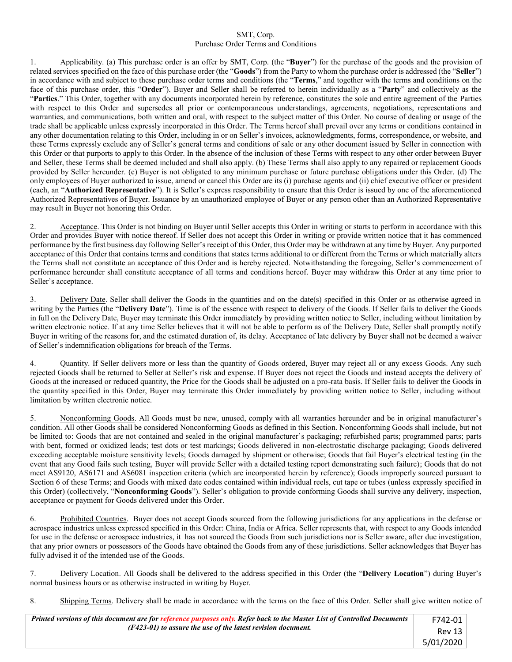## SMT, Corp. Purchase Order Terms and Conditions

1. Applicability. (a) This purchase order is an offer by SMT, Corp. (the "**Buyer**") for the purchase of the goods and the provision of related services specified on the face of this purchase order (the "**Goods**") from the Party to whom the purchase order is addressed (the "**Seller**") in accordance with and subject to these purchase order terms and conditions (the "**Terms**," and together with the terms and conditions on the face of this purchase order, this "**Order**"). Buyer and Seller shall be referred to herein individually as a "**Party**" and collectively as the "**Parties**." This Order, together with any documents incorporated herein by reference, constitutes the sole and entire agreement of the Parties with respect to this Order and supersedes all prior or contemporaneous understandings, agreements, negotiations, representations and warranties, and communications, both written and oral, with respect to the subject matter of this Order. No course of dealing or usage of the trade shall be applicable unless expressly incorporated in this Order. The Terms hereof shall prevail over any terms or conditions contained in any other documentation relating to this Order, including in or on Seller's invoices, acknowledgments, forms, correspondence, or website, and these Terms expressly exclude any of Seller's general terms and conditions of sale or any other document issued by Seller in connection with this Order or that purports to apply to this Order. In the absence of the inclusion of these Terms with respect to any other order between Buyer and Seller, these Terms shall be deemed included and shall also apply. (b) These Terms shall also apply to any repaired or replacement Goods provided by Seller hereunder. (c) Buyer is not obligated to any minimum purchase or future purchase obligations under this Order. (d) The only employees of Buyer authorized to issue, amend or cancel this Order are its (i) purchase agents and (ii) chief executive officer or president (each, an "**Authorized Representative**"). It is Seller's express responsibility to ensure that this Order is issued by one of the aforementioned Authorized Representatives of Buyer. Issuance by an unauthorized employee of Buyer or any person other than an Authorized Representative may result in Buyer not honoring this Order.

2. Acceptance. This Order is not binding on Buyer until Seller accepts this Order in writing or starts to perform in accordance with this Order and provides Buyer with notice thereof. If Seller does not accept this Order in writing or provide written notice that it has commenced performance by the first business day following Seller's receipt of this Order, this Order may be withdrawn at any time by Buyer. Any purported acceptance of this Order that contains terms and conditions that states terms additional to or different from the Terms or which materially alters the Terms shall not constitute an acceptance of this Order and is hereby rejected. Notwithstanding the foregoing, Seller's commencement of performance hereunder shall constitute acceptance of all terms and conditions hereof. Buyer may withdraw this Order at any time prior to Seller's acceptance.

3. Delivery Date. Seller shall deliver the Goods in the quantities and on the date(s) specified in this Order or as otherwise agreed in writing by the Parties (the "**Delivery Date**"). Time is of the essence with respect to delivery of the Goods. If Seller fails to deliver the Goods in full on the Delivery Date, Buyer may terminate this Order immediately by providing written notice to Seller, including without limitation by written electronic notice. If at any time Seller believes that it will not be able to perform as of the Delivery Date, Seller shall promptly notify Buyer in writing of the reasons for, and the estimated duration of, its delay. Acceptance of late delivery by Buyer shall not be deemed a waiver of Seller's indemnification obligations for breach of the Terms.

4. Quantity. If Seller delivers more or less than the quantity of Goods ordered, Buyer may reject all or any excess Goods. Any such rejected Goods shall be returned to Seller at Seller's risk and expense. If Buyer does not reject the Goods and instead accepts the delivery of Goods at the increased or reduced quantity, the Price for the Goods shall be adjusted on a pro-rata basis. If Seller fails to deliver the Goods in the quantity specified in this Order, Buyer may terminate this Order immediately by providing written notice to Seller, including without limitation by written electronic notice.

5. Nonconforming Goods. All Goods must be new, unused, comply with all warranties hereunder and be in original manufacturer's condition. All other Goods shall be considered Nonconforming Goods as defined in this Section. Nonconforming Goods shall include, but not be limited to: Goods that are not contained and sealed in the original manufacturer's packaging; refurbished parts; programmed parts; parts with bent, formed or oxidized leads; test dots or test markings; Goods delivered in non-electrostatic discharge packaging; Goods delivered exceeding acceptable moisture sensitivity levels; Goods damaged by shipment or otherwise; Goods that fail Buyer's electrical testing (in the event that any Good fails such testing, Buyer will provide Seller with a detailed testing report demonstrating such failure); Goods that do not meet AS9120, AS6171 and AS6081 inspection criteria (which are incorporated herein by reference); Goods improperly sourced pursuant to Section 6 of these Terms; and Goods with mixed date codes contained within individual reels, cut tape or tubes (unless expressly specified in this Order) (collectively, "**Nonconforming Goods**"). Seller's obligation to provide conforming Goods shall survive any delivery, inspection, acceptance or payment for Goods delivered under this Order.

6. Prohibited Countries. Buyer does not accept Goods sourced from the following jurisdictions for any applications in the defense or aerospace industries unless expressed specified in this Order: China, India or Africa. Seller represents that, with respect to any Goods intended for use in the defense or aerospace industries, it has not sourced the Goods from such jurisdictions nor is Seller aware, after due investigation, that any prior owners or possessors of the Goods have obtained the Goods from any of these jurisdictions. Seller acknowledges that Buyer has fully advised it of the intended use of the Goods.

7. Delivery Location. All Goods shall be delivered to the address specified in this Order (the "**Delivery Location**") during Buyer's normal business hours or as otherwise instructed in writing by Buyer.

8. Shipping Terms. Delivery shall be made in accordance with the terms on the face of this Order. Seller shall give written notice of

| Printed versions of this document are for reference purposes only. Refer back to the Master List of Controlled Documents | F742-01   |
|--------------------------------------------------------------------------------------------------------------------------|-----------|
| (F423-01) to assure the use of the latest revision document.                                                             | Rev 13    |
|                                                                                                                          | 5/01/2020 |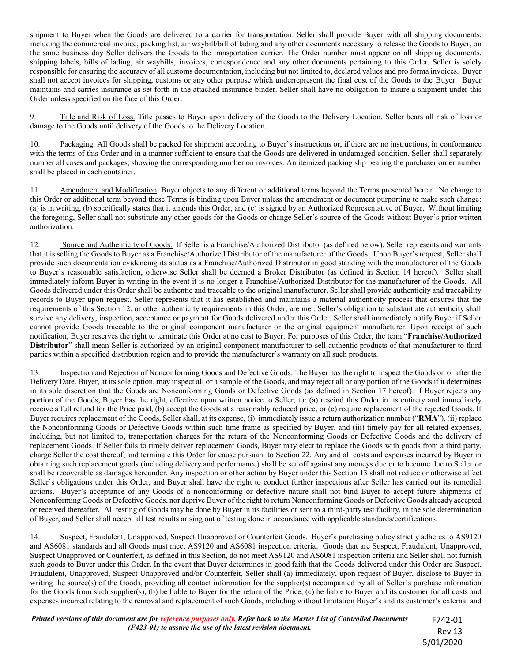shipment to Buyer when the Goods are delivered to a carrier for transportation. Seller shall provide Buyer with all shipping documents, including the commercial invoice, packing list, air waybill/bill of lading and any other documents necessary to release the Goods to Buyer, on the same business day Seller delivers the Goods to the transportation carrier. The Order number must appear on all shipping documents, shipping labels, bills of lading, air waybills, invoices, correspondence and any other documents pertaining to this Order. Seller is solely responsible for ensuring the accuracy of all customs documentation, including but not limited to, declared values and pro forma invoices. Buyer shall not accept invoices for shipping, customs or any other purpose which underrepresent the final cost of the Goods to the Buyer. Buyer maintains and carries insurance as set forth in the attached insurance binder. Seller shall have no obligation to insure a shipment under this Order unless specified on the face of this Order.

9. Title and Risk of Loss. Title passes to Buyer upon delivery of the Goods to the Delivery Location. Seller bears all risk of loss or damage to the Goods until delivery of the Goods to the Delivery Location.

10. Packaging. All Goods shall be packed for shipment according to Buyer's instructions or, if there are no instructions, in conformance with the terms of this Order and in a manner sufficient to ensure that the Goods are delivered in undamaged condition. Seller shall separately number all cases and packages, showing the corresponding number on invoices. An itemized packing slip bearing the purchaser order number shall be placed in each container.

11. Amendment and Modification. Buyer objects to any different or additional terms beyond the Terms presented herein. No change to this Order or additional term beyond these Terms is binding upon Buyer unless the amendment or document purporting to make such change: (a) is in writing, (b) specifically states that it amends this Order, and (c) is signed by an Authorized Representative of Buyer. Without limiting the foregoing, Seller shall not substitute any other goods for the Goods or change Seller's source of the Goods without Buyer's prior written authorization.

12. Source and Authenticity of Goods. If Seller is a Franchise/Authorized Distributor (as defined below), Seller represents and warrants that it is selling the Goods to Buyer as a Franchise/Authorized Distributor of the manufacturer of the Goods. Upon Buyer's request, Seller shall provide such documentation evidencing its status as a Franchise/Authorized Distributor in good standing with the manufacturer of the Goods to Buyer's reasonable satisfaction, otherwise Seller shall be deemed a Broker Distributor (as defined in Section 14 hereof). Seller shall immediately inform Buyer in writing in the event it is no longer a Franchise/Authorized Distributor for the manufacturer of the Goods. All Goods delivered under this Order shall be authentic and traceable to the original manufacturer. Seller shall provide authenticity and traceability records to Buyer upon request. Seller represents that it has established and maintains a material authenticity process that ensures that the requirements of this Section 12, or other authenticity requirements in this Order, are met. Seller's obligation to substantiate authenticity shall survive any delivery, inspection, acceptance or payment for Goods delivered under this Order. Seller shall immediately notify Buyer if Seller cannot provide Goods traceable to the original component manufacturer or the original equipment manufacturer. Upon receipt of such notification, Buyer reserves the right to terminate this Order at no cost to Buyer. For purposes of this Order, the term "**Franchise/Authorized Distributor**" shall mean Seller is authorized by an original component manufacturer to sell authentic products of that manufacturer to third parties within a specified distribution region and to provide the manufacturer's warranty on all such products.

13. Inspection and Rejection of Nonconforming Goods and Defective Goods. The Buyer has the right to inspect the Goods on or after the Delivery Date. Buyer, at its sole option, may inspect all or a sample of the Goods, and may reject all or any portion of the Goods if it determines in its sole discretion that the Goods are Nonconforming Goods or Defective Goods (as defined in Section 17 hereof). If Buyer rejects any portion of the Goods, Buyer has the right, effective upon written notice to Seller, to: (a) rescind this Order in its entirety and immediately receive a full refund for the Price paid, (b) accept the Goods at a reasonably reduced price, or (c) require replacement of the rejected Goods. If Buyer requires replacement of the Goods, Seller shall, at its expense, (i) immediately issue a return authorization number ("**RMA**"), (ii) replace the Nonconforming Goods or Defective Goods within such time frame as specified by Buyer, and (iii) timely pay for all related expenses, including, but not limited to, transportation charges for the return of the Nonconforming Goods or Defective Goods and the delivery of replacement Goods. If Seller fails to timely deliver replacement Goods, Buyer may elect to replace the Goods with goods from a third party, charge Seller the cost thereof, and terminate this Order for cause pursuant to Section 22. Any and all costs and expenses incurred by Buyer in obtaining such replacement goods (including delivery and performance) shall be set off against any moneys due or to become due to Seller or shall be recoverable as damages hereunder. Any inspection or other action by Buyer under this Section 13 shall not reduce or otherwise affect Seller's obligations under this Order, and Buyer shall have the right to conduct further inspections after Seller has carried out its remedial actions. Buyer's acceptance of any Goods of a nonconforming or defective nature shall not bind Buyer to accept future shipments of Nonconforming Goods or Defective Goods, nor deprive Buyer of the right to return Nonconforming Goods or Defective Goods already accepted or received thereafter. All testing of Goods may be done by Buyer in its facilities or sent to a third-party test facility, in the sole determination of Buyer, and Seller shall accept all test results arising out of testing done in accordance with applicable standards/certifications.

14. Suspect, Fraudulent, Unapproved, Suspect Unapproved or Counterfeit Goods. Buyer's purchasing policy strictly adheres to AS9120 and AS6081 standards and all Goods must meet AS9120 and AS6081 inspection criteria. Goods that are Suspect, Fraudulent, Unapproved, Suspect Unapproved or Counterfeit, as defined in this Section, do not meet AS9120 and AS6081 inspection criteria and Seller shall not furnish such goods to Buyer under this Order. In the event that Buyer determines in good faith that the Goods delivered under this Order are Suspect, Fraudulent, Unapproved, Suspect Unapproved and/or Counterfeit, Seller shall (a) immediately, upon request of Buyer, disclose to Buyer in writing the source(s) of the Goods, providing all contact information for the supplier(s) accompanied by all of Seller's purchase information for the Goods from such supplier(s), (b) be liable to Buyer for the return of the Price, (c) be liable to Buyer and its customer for all costs and expenses incurred relating to the removal and replacement of such Goods, including without limitation Buyer's and its customer's external and

| Printed versions of this document are for reference purposes only. Refer back to the Master List of Controlled Documents |                |  |  |  |  |
|--------------------------------------------------------------------------------------------------------------------------|----------------|--|--|--|--|
| (F423-01) to assure the use of the latest revision document.                                                             | Rev 13 $\vert$ |  |  |  |  |
|                                                                                                                          | 5/01/2020      |  |  |  |  |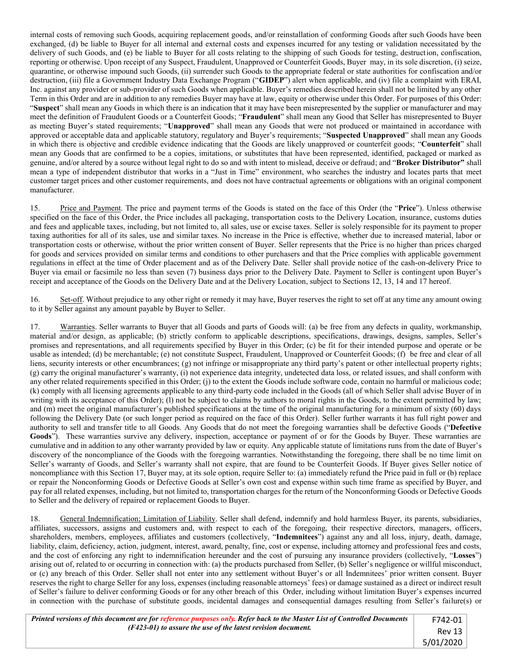internal costs of removing such Goods, acquiring replacement goods, and/or reinstallation of conforming Goods after such Goods have been exchanged, (d) be liable to Buyer for all internal and external costs and expenses incurred for any testing or validation necessitated by the delivery of such Goods, and (e) be liable to Buyer for all costs relating to the shipping of such Goods for testing, destruction, confiscation, reporting or otherwise. Upon receipt of any Suspect, Fraudulent, Unapproved or Counterfeit Goods, Buyer may, in its sole discretion, (i) seize, quarantine, or otherwise impound such Goods, (ii) surrender such Goods to the appropriate federal or state authorities for confiscation and/or destruction, (iii) file a Government Industry Data Exchange Program ("**GIDEP**") alert when applicable, and (iv) file a complaint with ERAI, Inc. against any provider or sub-provider of such Goods when applicable. Buyer's remedies described herein shall not be limited by any other Term in this Order and are in addition to any remedies Buyer may have at law, equity or otherwise under this Order. For purposes of this Order: "**Suspect**" shall mean any Goods in which there is an indication that it may have been misrepresented by the supplier or manufacturer and may meet the definition of Fraudulent Goods or a Counterfeit Goods; "**Fraudulent**" shall mean any Good that Seller has misrepresented to Buyer as meeting Buyer's stated requirements; "**Unapproved**" shall mean any Goods that were not produced or maintained in accordance with approved or acceptable data and applicable statutory, regulatory and Buyer's requirements; "**Suspected Unapproved**" shall mean any Goods in which there is objective and credible evidence indicating that the Goods are likely unapproved or counterfeit goods; "**Counterfeit**" shall mean any Goods that are confirmed to be a copies, imitations, or substitutes that have been represented, identified, packaged or marked as genuine, and/or altered by a source without legal right to do so and with intent to mislead, deceive or defraud; and "**Broker Distributor"** shall mean a type of independent distributor that works in a "Just in Time" environment, who searches the industry and locates parts that meet customer target prices and other customer requirements, and does not have contractual agreements or obligations with an original component manufacturer.

15. Price and Payment. The price and payment terms of the Goods is stated on the face of this Order (the "**Price**"). Unless otherwise specified on the face of this Order, the Price includes all packaging, transportation costs to the Delivery Location, insurance, customs duties and fees and applicable taxes, including, but not limited to, all sales, use or excise taxes. Seller is solely responsible for its payment to proper taxing authorities for all of its sales, use and similar taxes. No increase in the Price is effective, whether due to increased material, labor or transportation costs or otherwise, without the prior written consent of Buyer. Seller represents that the Price is no higher than prices charged for goods and services provided on similar terms and conditions to other purchasers and that the Price complies with applicable government regulations in effect at the time of Order placement and as of the Delivery Date. Seller shall provide notice of the cash-on-delivery Price to Buyer via email or facsimile no less than seven (7) business days prior to the Delivery Date. Payment to Seller is contingent upon Buyer's receipt and acceptance of the Goods on the Delivery Date and at the Delivery Location, subject to Sections 12, 13, 14 and 17 hereof.

16. Set-off. Without prejudice to any other right or remedy it may have, Buyer reserves the right to set off at any time any amount owing to it by Seller against any amount payable by Buyer to Seller.

17. Warranties. Seller warrants to Buyer that all Goods and parts of Goods will: (a) be free from any defects in quality, workmanship, material and/or design, as applicable; (b) strictly conform to applicable descriptions, specifications, drawings, designs, samples, Seller's promises and representations, and all requirements specified by Buyer in this Order; (c) be fit for their intended purpose and operate or be usable as intended; (d) be merchantable; (e) not constitute Suspect, Fraudulent, Unapproved or Counterfeit Goods; (f) be free and clear of all liens, security interests or other encumbrances; (g) not infringe or misappropriate any third party's patent or other intellectual property rights; (g) carry the original manufacturer's warranty, (i) not experience data integrity, undetected data loss, or related issues, and shall conform with any other related requirements specified in this Order; (j) to the extent the Goods include software code, contain no harmful or malicious code; (k) comply with all licensing agreements applicable to any third-party code included in the Goods (all of which Seller shall advise Buyer of in writing with its acceptance of this Order); (1) not be subject to claims by authors to moral rights in the Goods, to the extent permitted by law; and (m) meet the original manufacturer's published specifications at the time of the original manufacturing for a minimum of sixty (60) days following the Delivery Date (or such longer period as required on the face of this Order). Seller further warrants it has full right power and authority to sell and transfer title to all Goods. Any Goods that do not meet the foregoing warranties shall be defective Goods ("**Defective**  Goods"). These warranties survive any delivery, inspection, acceptance or payment of or for the Goods by Buyer. These warranties are cumulative and in addition to any other warranty provided by law or equity. Any applicable statute of limitations runs from the date of Buyer's discovery of the noncompliance of the Goods with the foregoing warranties. Notwithstanding the foregoing, there shall be no time limit on Seller's warranty of Goods, and Seller's warranty shall not expire, that are found to be Counterfeit Goods. If Buyer gives Seller notice of noncompliance with this Section 17, Buyer may, at its sole option, require Seller to: (a) immediately refund the Price paid in full or (b) replace or repair the Nonconforming Goods or Defective Goods at Seller's own cost and expense within such time frame as specified by Buyer, and pay for all related expenses, including, but not limited to, transportation charges for the return of the Nonconforming Goods or Defective Goods to Seller and the delivery of repaired or replacement Goods to Buyer.

18. General Indemnification; Limitation of Liability. Seller shall defend, indemnify and hold harmless Buyer, its parents, subsidiaries, affiliates, successors, assigns and customers and, with respect to each of the foregoing, their respective directors, managers, officers, shareholders, members, employees, affiliates and customers (collectively, "**Indemnitees**") against any and all loss, injury, death, damage, liability, claim, deficiency, action, judgment, interest, award, penalty, fine, cost or expense, including attorney and professional fees and costs, and the cost of enforcing any right to indemnification hereunder and the cost of pursuing any insurance providers (collectively, "**Losses**") arising out of, related to or occurring in connection with: (a) the products purchased from Seller, (b) Seller's negligence or willful misconduct, or (c) any breach of this Order. Seller shall not enter into any settlement without Buyer's or all Indemnitees' prior written consent. Buyer reserves the right to charge Seller for any loss, expenses (including reasonable attorneys' fees) or damage sustained as a direct or indirect result of Seller's failure to deliver conforming Goods or for any other breach of this Order, including without limitation Buyer's expenses incurred in connection with the purchase of substitute goods, incidental damages and consequential damages resulting from Seller's failure(s) or

| Printed versions of this document are for reference purposes only. Refer back to the Master List of Controlled Documents |           |  |  |  |  |  |
|--------------------------------------------------------------------------------------------------------------------------|-----------|--|--|--|--|--|
| (F423-01) to assure the use of the latest revision document.                                                             |           |  |  |  |  |  |
|                                                                                                                          | 5/01/2020 |  |  |  |  |  |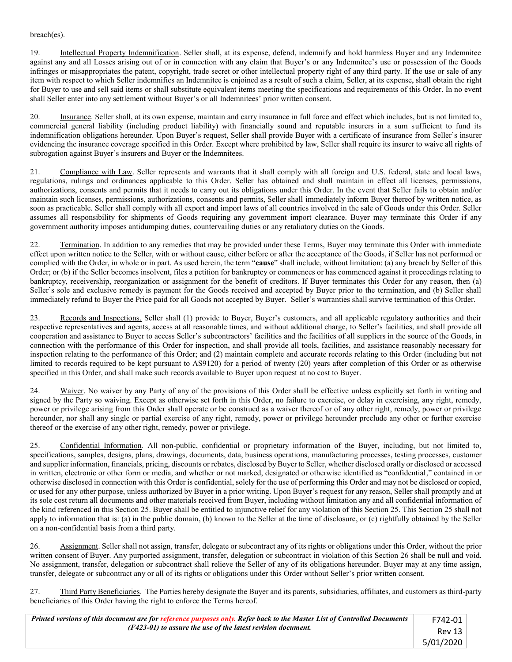## breach(es).

19. Intellectual Property Indemnification. Seller shall, at its expense, defend, indemnify and hold harmless Buyer and any Indemnitee against any and all Losses arising out of or in connection with any claim that Buyer's or any Indemnitee's use or possession of the Goods infringes or misappropriates the patent, copyright, trade secret or other intellectual property right of any third party. If the use or sale of any item with respect to which Seller indemnifies an Indemnitee is enjoined as a result of such a claim, Seller, at its expense, shall obtain the right for Buyer to use and sell said items or shall substitute equivalent items meeting the specifications and requirements of this Order. In no event shall Seller enter into any settlement without Buyer's or all Indemnitees' prior written consent.

20. Insurance. Seller shall, at its own expense, maintain and carry insurance in full force and effect which includes, but is not limited to, commercial general liability (including product liability) with financially sound and reputable insurers in a sum sufficient to fund its indemnification obligations hereunder. Upon Buyer's request, Seller shall provide Buyer with a certificate of insurance from Seller's insurer evidencing the insurance coverage specified in this Order. Except where prohibited by law, Seller shall require its insurer to waive all rights of subrogation against Buyer's insurers and Buyer or the Indemnitees.

21. Compliance with Law. Seller represents and warrants that it shall comply with all foreign and U.S. federal, state and local laws, regulations, rulings and ordinances applicable to this Order. Seller has obtained and shall maintain in effect all licenses, permissions, authorizations, consents and permits that it needs to carry out its obligations under this Order. In the event that Seller fails to obtain and/or maintain such licenses, permissions, authorizations, consents and permits, Seller shall immediately inform Buyer thereof by written notice, as soon as practicable. Seller shall comply with all export and import laws of all countries involved in the sale of Goods under this Order. Seller assumes all responsibility for shipments of Goods requiring any government import clearance. Buyer may terminate this Order if any government authority imposes antidumping duties, countervailing duties or any retaliatory duties on the Goods.

22. Termination. In addition to any remedies that may be provided under these Terms, Buyer may terminate this Order with immediate effect upon written notice to the Seller, with or without cause, either before or after the acceptance of the Goods, if Seller has not performed or complied with the Order, in whole or in part. As used herein, the term "**cause**" shall include, without limitation: (a) any breach by Seller of this Order; or (b) if the Seller becomes insolvent, files a petition for bankruptcy or commences or has commenced against it proceedings relating to bankruptcy, receivership, reorganization or assignment for the benefit of creditors. If Buyer terminates this Order for any reason, then (a) Seller's sole and exclusive remedy is payment for the Goods received and accepted by Buyer prior to the termination, and (b) Seller shall immediately refund to Buyer the Price paid for all Goods not accepted by Buyer. Seller's warranties shall survive termination of this Order.

23. Records and Inspections. Seller shall (1) provide to Buyer, Buyer's customers, and all applicable regulatory authorities and their respective representatives and agents, access at all reasonable times, and without additional charge, to Seller's facilities, and shall provide all cooperation and assistance to Buyer to access Seller's subcontractors' facilities and the facilities of all suppliers in the source of the Goods, in connection with the performance of this Order for inspection, and shall provide all tools, facilities, and assistance reasonably necessary for inspection relating to the performance of this Order; and (2) maintain complete and accurate records relating to this Order (including but not limited to records required to be kept pursuant to AS9120) for a period of twenty (20) years after completion of this Order or as otherwise specified in this Order, and shall make such records available to Buyer upon request at no cost to Buyer.

24. Waiver. No waiver by any Party of any of the provisions of this Order shall be effective unless explicitly set forth in writing and signed by the Party so waiving. Except as otherwise set forth in this Order, no failure to exercise, or delay in exercising, any right, remedy, power or privilege arising from this Order shall operate or be construed as a waiver thereof or of any other right, remedy, power or privilege hereunder, nor shall any single or partial exercise of any right, remedy, power or privilege hereunder preclude any other or further exercise thereof or the exercise of any other right, remedy, power or privilege.

25. Confidential Information. All non-public, confidential or proprietary information of the Buyer, including, but not limited to, specifications, samples, designs, plans, drawings, documents, data, business operations, manufacturing processes, testing processes, customer and supplier information, financials, pricing, discounts or rebates, disclosed by Buyer to Seller, whether disclosed orally or disclosed or accessed in written, electronic or other form or media, and whether or not marked, designated or otherwise identified as "confidential," contained in or otherwise disclosed in connection with this Order is confidential, solely for the use of performing this Order and may not be disclosed or copied, or used for any other purpose, unless authorized by Buyer in a prior writing. Upon Buyer's request for any reason, Seller shall promptly and at its sole cost return all documents and other materials received from Buyer, including without limitation any and all confidential information of the kind referenced in this Section 25. Buyer shall be entitled to injunctive relief for any violation of this Section 25. This Section 25 shall not apply to information that is: (a) in the public domain, (b) known to the Seller at the time of disclosure, or (c) rightfully obtained by the Seller on a non-confidential basis from a third party.

26. Assignment. Seller shall not assign, transfer, delegate or subcontract any of its rights or obligations under this Order, without the prior written consent of Buyer. Any purported assignment, transfer, delegation or subcontract in violation of this Section 26 shall be null and void. No assignment, transfer, delegation or subcontract shall relieve the Seller of any of its obligations hereunder. Buyer may at any time assign, transfer, delegate or subcontract any or all of its rights or obligations under this Order without Seller's prior written consent.

27. Third Party Beneficiaries. The Parties hereby designate the Buyer and its parents, subsidiaries, affiliates, and customers as third-party beneficiaries of this Order having the right to enforce the Terms hereof.

| Printed versions of this document are for reference purposes only. Refer back to the Master List of Controlled Documents | F742-01 i      |
|--------------------------------------------------------------------------------------------------------------------------|----------------|
| (F423-01) to assure the use of the latest revision document.                                                             | Rev 13 $\vert$ |
|                                                                                                                          | 5/01/2020      |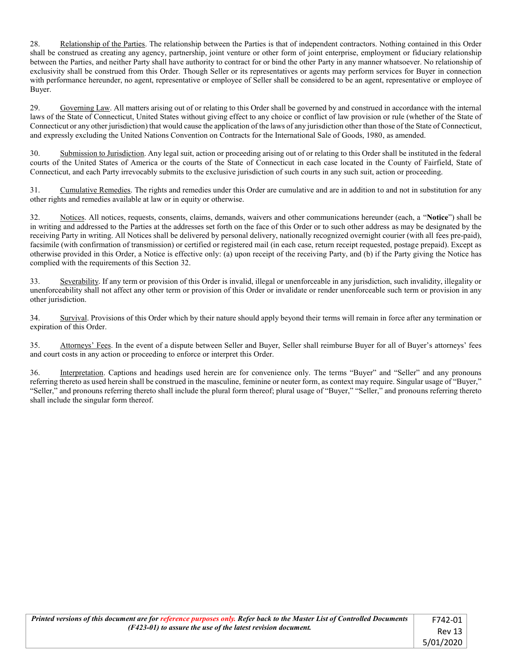28. Relationship of the Parties. The relationship between the Parties is that of independent contractors. Nothing contained in this Order shall be construed as creating any agency, partnership, joint venture or other form of joint enterprise, employment or fiduciary relationship between the Parties, and neither Party shall have authority to contract for or bind the other Party in any manner whatsoever. No relationship of exclusivity shall be construed from this Order. Though Seller or its representatives or agents may perform services for Buyer in connection with performance hereunder, no agent, representative or employee of Seller shall be considered to be an agent, representative or employee of Buyer.

29. Governing Law. All matters arising out of or relating to this Order shall be governed by and construed in accordance with the internal laws of the State of Connecticut, United States without giving effect to any choice or conflict of law provision or rule (whether of the State of Connecticut or any other jurisdiction) that would cause the application of the laws of any jurisdiction other than those of the State of Connecticut, and expressly excluding the United Nations Convention on Contracts for the International Sale of Goods, 1980, as amended.

30. Submission to Jurisdiction. Any legal suit, action or proceeding arising out of or relating to this Order shall be instituted in the federal courts of the United States of America or the courts of the State of Connecticut in each case located in the County of Fairfield, State of Connecticut, and each Party irrevocably submits to the exclusive jurisdiction of such courts in any such suit, action or proceeding.

31. Cumulative Remedies. The rights and remedies under this Order are cumulative and are in addition to and not in substitution for any other rights and remedies available at law or in equity or otherwise.

32. Notices. All notices, requests, consents, claims, demands, waivers and other communications hereunder (each, a "**Notice**") shall be in writing and addressed to the Parties at the addresses set forth on the face of this Order or to such other address as may be designated by the receiving Party in writing. All Notices shall be delivered by personal delivery, nationally recognized overnight courier (with all fees pre-paid), facsimile (with confirmation of transmission) or certified or registered mail (in each case, return receipt requested, postage prepaid). Except as otherwise provided in this Order, a Notice is effective only: (a) upon receipt of the receiving Party, and (b) if the Party giving the Notice has complied with the requirements of this Section 32.

33. Severability. If any term or provision of this Order is invalid, illegal or unenforceable in any jurisdiction, such invalidity, illegality or unenforceability shall not affect any other term or provision of this Order or invalidate or render unenforceable such term or provision in any other jurisdiction.

34. Survival. Provisions of this Order which by their nature should apply beyond their terms will remain in force after any termination or expiration of this Order.

35. Attorneys' Fees. In the event of a dispute between Seller and Buyer, Seller shall reimburse Buyer for all of Buyer's attorneys' fees and court costs in any action or proceeding to enforce or interpret this Order.

36. Interpretation. Captions and headings used herein are for convenience only. The terms "Buyer" and "Seller" and any pronouns referring thereto as used herein shall be construed in the masculine, feminine or neuter form, as context may require. Singular usage of "Buyer," "Seller," and pronouns referring thereto shall include the plural form thereof; plural usage of "Buyer," "Seller," and pronouns referring thereto shall include the singular form thereof.

| Printed versions of this document are for reference purposes only. Refer back to the Master List of Controlled Documents | F742-01   |
|--------------------------------------------------------------------------------------------------------------------------|-----------|
| (F423-01) to assure the use of the latest revision document.                                                             | Rev 13    |
|                                                                                                                          | 5/01/2020 |